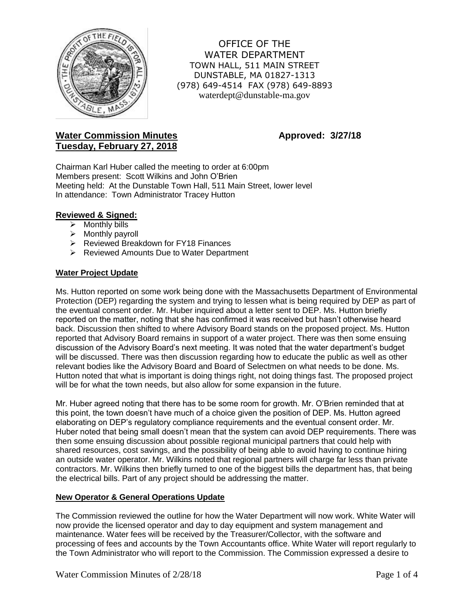

OFFICE OF THE WATER DEPARTMENT TOWN HALL, 511 MAIN STREET DUNSTABLE, MA 01827-1313 (978) 649-4514 FAX (978) 649-8893 waterdept@dunstable-ma.gov

# **Water Commission Minutes <b>Approved:** 3/27/18 **Tuesday, February 27, 2018**

Chairman Karl Huber called the meeting to order at 6:00pm Members present: Scott Wilkins and John O'Brien Meeting held: At the Dunstable Town Hall, 511 Main Street, lower level In attendance: Town Administrator Tracey Hutton

## **Reviewed & Signed:**

- $\triangleright$  Monthly bills
- $\triangleright$  Monthly payroll
- **EXA** Reviewed Breakdown for FY18 Finances
- **EXA Reviewed Amounts Due to Water Department**

## **Water Project Update**

Ms. Hutton reported on some work being done with the Massachusetts Department of Environmental Protection (DEP) regarding the system and trying to lessen what is being required by DEP as part of the eventual consent order. Mr. Huber inquired about a letter sent to DEP. Ms. Hutton briefly reported on the matter, noting that she has confirmed it was received but hasn't otherwise heard back. Discussion then shifted to where Advisory Board stands on the proposed project. Ms. Hutton reported that Advisory Board remains in support of a water project. There was then some ensuing discussion of the Advisory Board's next meeting. It was noted that the water department's budget will be discussed. There was then discussion regarding how to educate the public as well as other relevant bodies like the Advisory Board and Board of Selectmen on what needs to be done. Ms. Hutton noted that what is important is doing things right, not doing things fast. The proposed project will be for what the town needs, but also allow for some expansion in the future.

Mr. Huber agreed noting that there has to be some room for growth. Mr. O'Brien reminded that at this point, the town doesn't have much of a choice given the position of DEP. Ms. Hutton agreed elaborating on DEP's regulatory compliance requirements and the eventual consent order. Mr. Huber noted that being small doesn't mean that the system can avoid DEP requirements. There was then some ensuing discussion about possible regional municipal partners that could help with shared resources, cost savings, and the possibility of being able to avoid having to continue hiring an outside water operator. Mr. Wilkins noted that regional partners will charge far less than private contractors. Mr. Wilkins then briefly turned to one of the biggest bills the department has, that being the electrical bills. Part of any project should be addressing the matter.

## **New Operator & General Operations Update**

The Commission reviewed the outline for how the Water Department will now work. White Water will now provide the licensed operator and day to day equipment and system management and maintenance. Water fees will be received by the Treasurer/Collector, with the software and processing of fees and accounts by the Town Accountants office. White Water will report regularly to the Town Administrator who will report to the Commission. The Commission expressed a desire to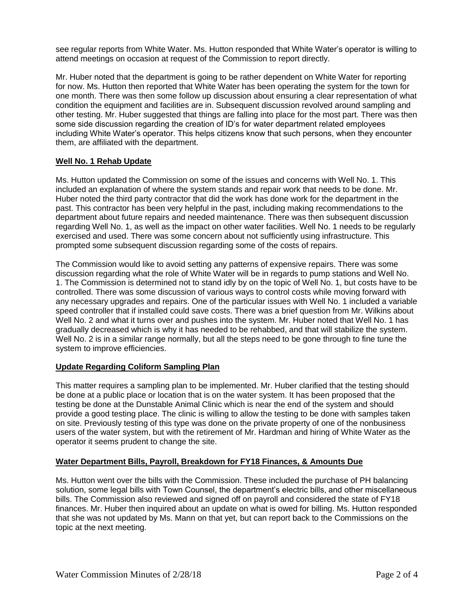see regular reports from White Water. Ms. Hutton responded that White Water's operator is willing to attend meetings on occasion at request of the Commission to report directly.

Mr. Huber noted that the department is going to be rather dependent on White Water for reporting for now. Ms. Hutton then reported that White Water has been operating the system for the town for one month. There was then some follow up discussion about ensuring a clear representation of what condition the equipment and facilities are in. Subsequent discussion revolved around sampling and other testing. Mr. Huber suggested that things are falling into place for the most part. There was then some side discussion regarding the creation of ID's for water department related employees including White Water's operator. This helps citizens know that such persons, when they encounter them, are affiliated with the department.

## **Well No. 1 Rehab Update**

Ms. Hutton updated the Commission on some of the issues and concerns with Well No. 1. This included an explanation of where the system stands and repair work that needs to be done. Mr. Huber noted the third party contractor that did the work has done work for the department in the past. This contractor has been very helpful in the past, including making recommendations to the department about future repairs and needed maintenance. There was then subsequent discussion regarding Well No. 1, as well as the impact on other water facilities. Well No. 1 needs to be regularly exercised and used. There was some concern about not sufficiently using infrastructure. This prompted some subsequent discussion regarding some of the costs of repairs.

The Commission would like to avoid setting any patterns of expensive repairs. There was some discussion regarding what the role of White Water will be in regards to pump stations and Well No. 1. The Commission is determined not to stand idly by on the topic of Well No. 1, but costs have to be controlled. There was some discussion of various ways to control costs while moving forward with any necessary upgrades and repairs. One of the particular issues with Well No. 1 included a variable speed controller that if installed could save costs. There was a brief question from Mr. Wilkins about Well No. 2 and what it turns over and pushes into the system. Mr. Huber noted that Well No. 1 has gradually decreased which is why it has needed to be rehabbed, and that will stabilize the system. Well No. 2 is in a similar range normally, but all the steps need to be gone through to fine tune the system to improve efficiencies.

## **Update Regarding Coliform Sampling Plan**

This matter requires a sampling plan to be implemented. Mr. Huber clarified that the testing should be done at a public place or location that is on the water system. It has been proposed that the testing be done at the Dunstable Animal Clinic which is near the end of the system and should provide a good testing place. The clinic is willing to allow the testing to be done with samples taken on site. Previously testing of this type was done on the private property of one of the nonbusiness users of the water system, but with the retirement of Mr. Hardman and hiring of White Water as the operator it seems prudent to change the site.

## **Water Department Bills, Payroll, Breakdown for FY18 Finances, & Amounts Due**

Ms. Hutton went over the bills with the Commission. These included the purchase of PH balancing solution, some legal bills with Town Counsel, the department's electric bills, and other miscellaneous bills. The Commission also reviewed and signed off on payroll and considered the state of FY18 finances. Mr. Huber then inquired about an update on what is owed for billing. Ms. Hutton responded that she was not updated by Ms. Mann on that yet, but can report back to the Commissions on the topic at the next meeting.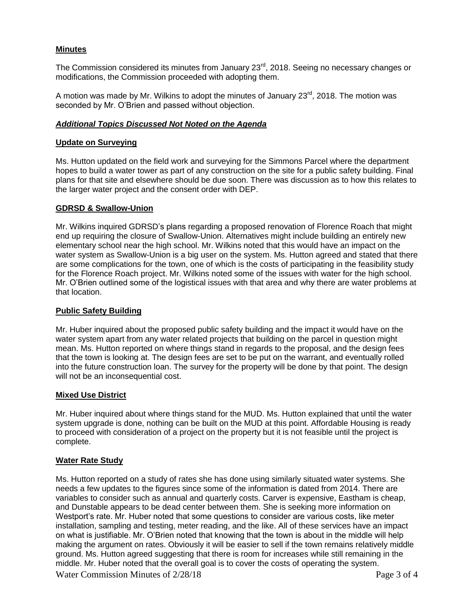## **Minutes**

The Commission considered its minutes from January 23<sup>rd</sup>, 2018. Seeing no necessary changes or modifications, the Commission proceeded with adopting them.

A motion was made by Mr. Wilkins to adopt the minutes of January  $23<sup>rd</sup>$ , 2018. The motion was seconded by Mr. O'Brien and passed without objection.

## *Additional Topics Discussed Not Noted on the Agenda*

#### **Update on Surveying**

Ms. Hutton updated on the field work and surveying for the Simmons Parcel where the department hopes to build a water tower as part of any construction on the site for a public safety building. Final plans for that site and elsewhere should be due soon. There was discussion as to how this relates to the larger water project and the consent order with DEP.

#### **GDRSD & Swallow-Union**

Mr. Wilkins inquired GDRSD's plans regarding a proposed renovation of Florence Roach that might end up requiring the closure of Swallow-Union. Alternatives might include building an entirely new elementary school near the high school. Mr. Wilkins noted that this would have an impact on the water system as Swallow-Union is a big user on the system. Ms. Hutton agreed and stated that there are some complications for the town, one of which is the costs of participating in the feasibility study for the Florence Roach project. Mr. Wilkins noted some of the issues with water for the high school. Mr. O'Brien outlined some of the logistical issues with that area and why there are water problems at that location.

#### **Public Safety Building**

Mr. Huber inquired about the proposed public safety building and the impact it would have on the water system apart from any water related projects that building on the parcel in question might mean. Ms. Hutton reported on where things stand in regards to the proposal, and the design fees that the town is looking at. The design fees are set to be put on the warrant, and eventually rolled into the future construction loan. The survey for the property will be done by that point. The design will not be an inconsequential cost.

#### **Mixed Use District**

Mr. Huber inquired about where things stand for the MUD. Ms. Hutton explained that until the water system upgrade is done, nothing can be built on the MUD at this point. Affordable Housing is ready to proceed with consideration of a project on the property but it is not feasible until the project is complete.

#### **Water Rate Study**

Water Commission Minutes of 2/28/18 Page 3 of 4 Ms. Hutton reported on a study of rates she has done using similarly situated water systems. She needs a few updates to the figures since some of the information is dated from 2014. There are variables to consider such as annual and quarterly costs. Carver is expensive, Eastham is cheap, and Dunstable appears to be dead center between them. She is seeking more information on Westport's rate. Mr. Huber noted that some questions to consider are various costs, like meter installation, sampling and testing, meter reading, and the like. All of these services have an impact on what is justifiable. Mr. O'Brien noted that knowing that the town is about in the middle will help making the argument on rates. Obviously it will be easier to sell if the town remains relatively middle ground. Ms. Hutton agreed suggesting that there is room for increases while still remaining in the middle. Mr. Huber noted that the overall goal is to cover the costs of operating the system.